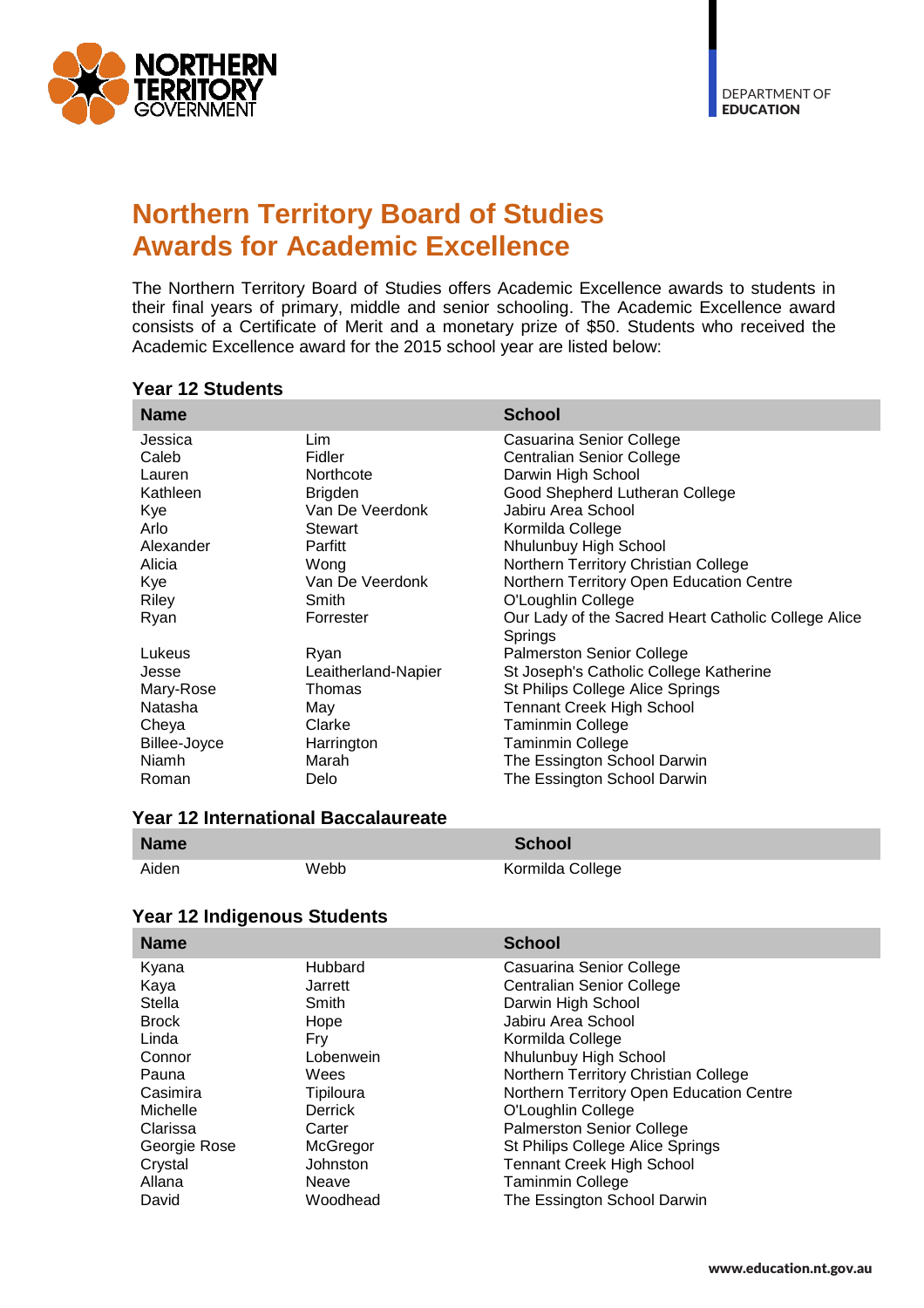

# **Northern Territory Board of Studies Awards for Academic Excellence**

The Northern Territory Board of Studies offers Academic Excellence awards to students in their final years of primary, middle and senior schooling. The Academic Excellence award consists of a Certificate of Merit and a monetary prize of \$50. Students who received the Academic Excellence award for the 2015 school year are listed below:

| <b>Name</b>  |                     | <b>School</b>                                       |
|--------------|---------------------|-----------------------------------------------------|
| Jessica      | Lim                 | Casuarina Senior College                            |
| Caleb        | Fidler              | <b>Centralian Senior College</b>                    |
| Lauren       | Northcote           | Darwin High School                                  |
| Kathleen     | <b>Brigden</b>      | Good Shepherd Lutheran College                      |
| Kye          | Van De Veerdonk     | Jabiru Area School                                  |
| Arlo         | Stewart             | Kormilda College                                    |
| Alexander    | Parfitt             | Nhulunbuy High School                               |
| Alicia       | Wong                | Northern Territory Christian College                |
| Kye          | Van De Veerdonk     | Northern Territory Open Education Centre            |
| Riley        | Smith               | O'Loughlin College                                  |
| Ryan         | Forrester           | Our Lady of the Sacred Heart Catholic College Alice |
|              |                     | Springs                                             |
| Lukeus       | Ryan                | <b>Palmerston Senior College</b>                    |
| Jesse        | Leaitherland-Napier | St Joseph's Catholic College Katherine              |
| Mary-Rose    | Thomas              | St Philips College Alice Springs                    |
| Natasha      | May                 | <b>Tennant Creek High School</b>                    |
| Cheya        | Clarke              | Taminmin College                                    |
| Billee-Joyce | Harrington          | Taminmin College                                    |
| Niamh        | Marah               | The Essington School Darwin                         |
| Roman        | Delo                | The Essington School Darwin                         |

#### **Year 12 Students**

#### **Year 12 International Baccalaureate**

| <b>Name</b> |      | <b>School</b>    |
|-------------|------|------------------|
| Aiden       | Webb | Kormilda College |

#### **Year 12 Indigenous Students**

|              | <b>School</b>                            |
|--------------|------------------------------------------|
| Hubbard      | Casuarina Senior College                 |
| Jarrett      | <b>Centralian Senior College</b>         |
| Smith        | Darwin High School                       |
| Hope         | Jabiru Area School                       |
| Fry          | Kormilda College                         |
| Lobenwein    | Nhulunbuy High School                    |
| Wees         | Northern Territory Christian College     |
| Tipiloura    | Northern Territory Open Education Centre |
| Derrick      | O'Loughlin College                       |
| Carter       | <b>Palmerston Senior College</b>         |
| McGregor     | St Philips College Alice Springs         |
| Johnston     | <b>Tennant Creek High School</b>         |
| <b>Neave</b> | <b>Taminmin College</b>                  |
| Woodhead     | The Essington School Darwin              |
|              |                                          |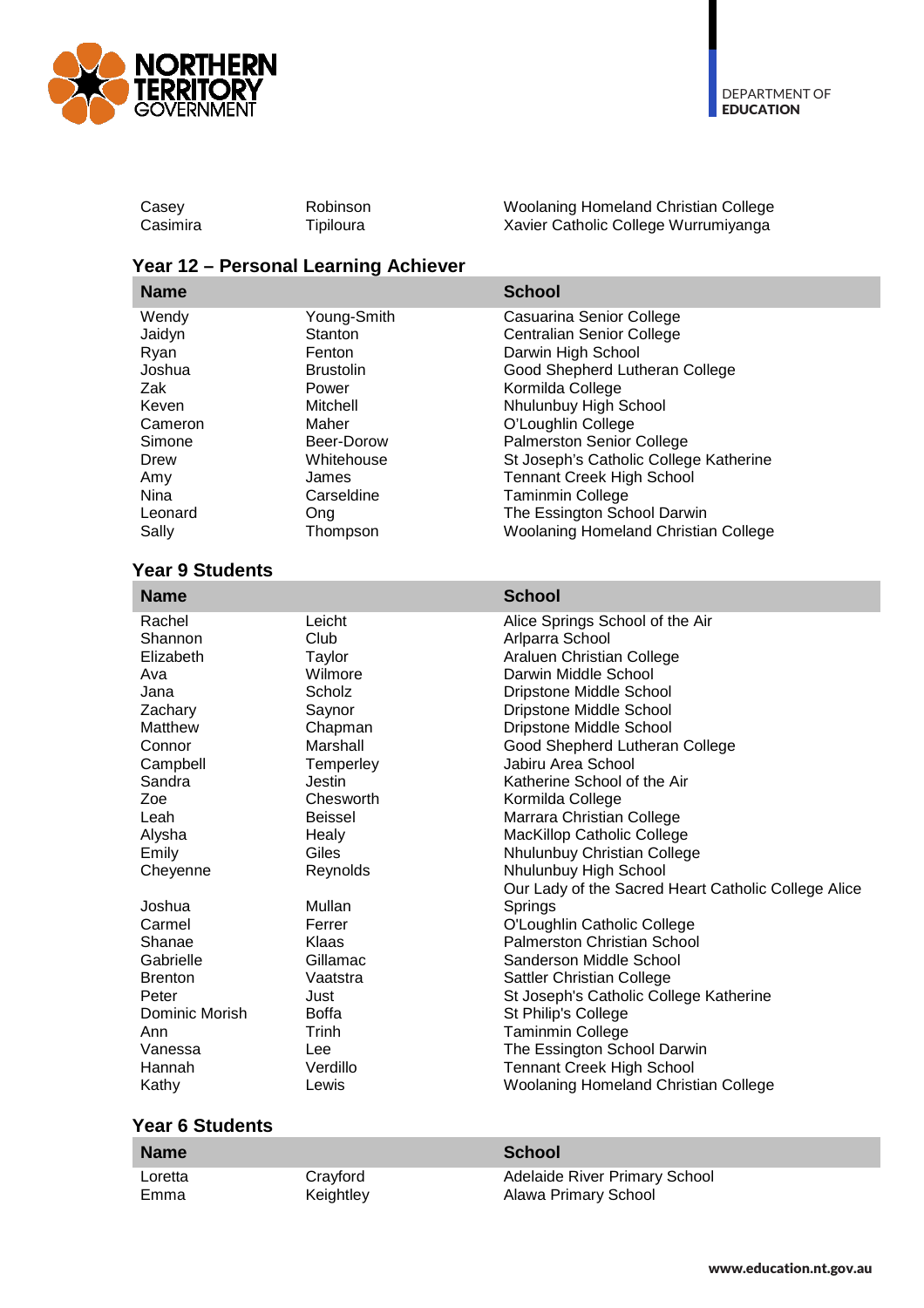

| Robinson  | Woolaning Homeland Christian College |
|-----------|--------------------------------------|
| Tipiloura | Xavier Catholic College Wurrumiyanga |
|           |                                      |

## **Year 12 – Personal Learning Achiever**

| <b>Name</b> |                  | <b>School</b>                               |
|-------------|------------------|---------------------------------------------|
| Wendy       | Young-Smith      | Casuarina Senior College                    |
| Jaidyn      | Stanton          | <b>Centralian Senior College</b>            |
| Ryan        | Fenton           | Darwin High School                          |
| Joshua      | <b>Brustolin</b> | Good Shepherd Lutheran College              |
| Zak         | Power            | Kormilda College                            |
| Keven       | Mitchell         | Nhulunbuy High School                       |
| Cameron     | Maher            | O'Loughlin College                          |
| Simone      | Beer-Dorow       | <b>Palmerston Senior College</b>            |
| Drew        | Whitehouse       | St Joseph's Catholic College Katherine      |
| Amy         | James            | <b>Tennant Creek High School</b>            |
| Nina        | Carseldine       | <b>Taminmin College</b>                     |
| Leonard     | Ong              | The Essington School Darwin                 |
| Sally       | Thompson         | <b>Woolaning Homeland Christian College</b> |

### **Year 9 Students**

| <b>Name</b>    |                | <b>School</b>                                       |
|----------------|----------------|-----------------------------------------------------|
| Rachel         | Leicht         | Alice Springs School of the Air                     |
| Shannon        | Club           | Arlparra School                                     |
| Elizabeth      | Taylor         | Araluen Christian College                           |
| Ava            | Wilmore        | Darwin Middle School                                |
| Jana           | Scholz         | Dripstone Middle School                             |
| Zachary        | Saynor         | Dripstone Middle School                             |
| Matthew        | Chapman        | Dripstone Middle School                             |
| Connor         | Marshall       | Good Shepherd Lutheran College                      |
| Campbell       | Temperley      | Jabiru Area School                                  |
| Sandra         | Jestin         | Katherine School of the Air                         |
| Zoe            | Chesworth      | Kormilda College                                    |
| Leah           | <b>Beissel</b> | Marrara Christian College                           |
| Alysha         | Healy          | MacKillop Catholic College                          |
| Emily          | Giles          | Nhulunbuy Christian College                         |
| Cheyenne       | Reynolds       | Nhulunbuy High School                               |
|                |                | Our Lady of the Sacred Heart Catholic College Alice |
| Joshua         | Mullan         | Springs                                             |
| Carmel         | Ferrer         | O'Loughlin Catholic College                         |
| Shanae         | Klaas          | <b>Palmerston Christian School</b>                  |
| Gabrielle      | Gillamac       | Sanderson Middle School                             |
| <b>Brenton</b> | Vaatstra       | Sattler Christian College                           |
| Peter          | Just           | St Joseph's Catholic College Katherine              |
| Dominic Morish | <b>Boffa</b>   | St Philip's College                                 |
| Ann            | Trinh          | Taminmin College                                    |
| Vanessa        | <b>Lee</b>     | The Essington School Darwin                         |
| Hannah         | Verdillo       | <b>Tennant Creek High School</b>                    |
| Kathy          | Lewis          | <b>Woolaning Homeland Christian College</b>         |
|                |                |                                                     |

## **Year 6 Students**

| <b>Name</b> |           | School                               |
|-------------|-----------|--------------------------------------|
| Loretta     | Cravford  | <b>Adelaide River Primary School</b> |
| Emma        | Keightley | Alawa Primary School                 |